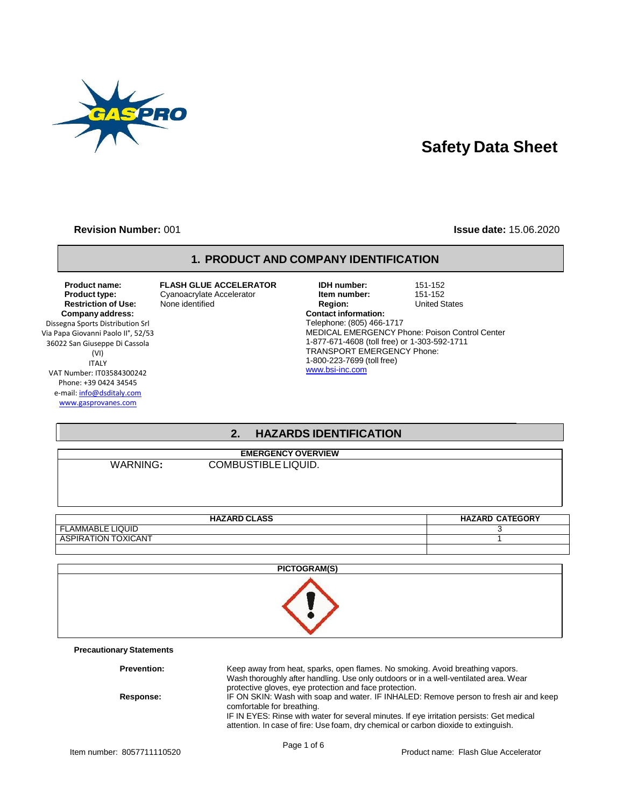

# **Safety Data Sheet**

#### **Revision Number:** 001 **Issue date:** 15.06.2020

#### **1. PRODUCT AND COMPANY IDENTIFICATION**

**Restriction of Use: Company address:** Dissegna Sports Distribution Srl Via Papa Giovanni Paolo II°, 52/53

36022 San Giuseppe Di Cassola (VI) ITALY VAT Number: IT03584300242 Phone: +39 0424 34545 e-mail[: info@dsditaly.com](mailto:info@dsditaly.com)

[www.gasprovanes.com](http://www.gasprovanes.com/)

| <b>Product name:</b><br>Product type:<br><b>Restriction of Use:</b> | <b>FLASH GLUE ACCELERATOR</b><br>Cyanoacrylate Accelerator<br>None identified | <b>IDH</b> number:<br>Item number:<br><b>Region:</b> | 151-152<br>151-152<br><b>United States</b>            |
|---------------------------------------------------------------------|-------------------------------------------------------------------------------|------------------------------------------------------|-------------------------------------------------------|
| Company address:                                                    |                                                                               | <b>Contact information:</b>                          |                                                       |
| gna Sports Distribution Srl                                         |                                                                               | Telephone: (805) 466-1717                            |                                                       |
| pa Giovanni Paolo II°, 52/53                                        |                                                                               |                                                      | <b>MEDICAL EMERGENCY Phone: Poison Control Center</b> |
| 2 San Giuseppe Di Cassola                                           |                                                                               | 1-877-671-4608 (toll free) or 1-303-592-1711         |                                                       |
| (VI)                                                                |                                                                               | <b>TRANSPORT EMERGENCY Phone:</b>                    |                                                       |
| <b>ITALY</b>                                                        |                                                                               | 1-800-223-7699 (toll free)                           |                                                       |
| Number: IT03584300242                                               |                                                                               | www.bsi-inc.com                                      |                                                       |

# **2. HAZARDS IDENTIFICATION**

| WARNING |  |  |
|---------|--|--|
|         |  |  |

**COMBUSTIBLE LIQUID.** 

**EMERGENCY OVERVIEW**

| <b>HAZARD CLASS</b>               | HAZARD<br><b>CATEGORY</b> |
|-----------------------------------|---------------------------|
| <b>ELAMMABLE LIQUID</b><br>EL.    |                           |
| TOXICANT<br><b>ASPIRA</b><br>TION |                           |
|                                   |                           |

| PICTOGRAM(S)                    |
|---------------------------------|
|                                 |
| <b>Precautionary Statements</b> |

| <b>Prevention:</b> | Keep away from heat, sparks, open flames. No smoking. Avoid breathing vapors.<br>Wash thoroughly after handling. Use only outdoors or in a well-ventilated area. Wear<br>protective gloves, eye protection and face protection.                                                                         |
|--------------------|---------------------------------------------------------------------------------------------------------------------------------------------------------------------------------------------------------------------------------------------------------------------------------------------------------|
| Response:          | IF ON SKIN: Wash with soap and water. IF INHALED: Remove person to fresh air and keep<br>comfortable for breathing.<br>IF IN EYES: Rinse with water for several minutes. If eye irritation persists: Get medical<br>attention. In case of fire: Use foam, dry chemical or carbon dioxide to extinguish. |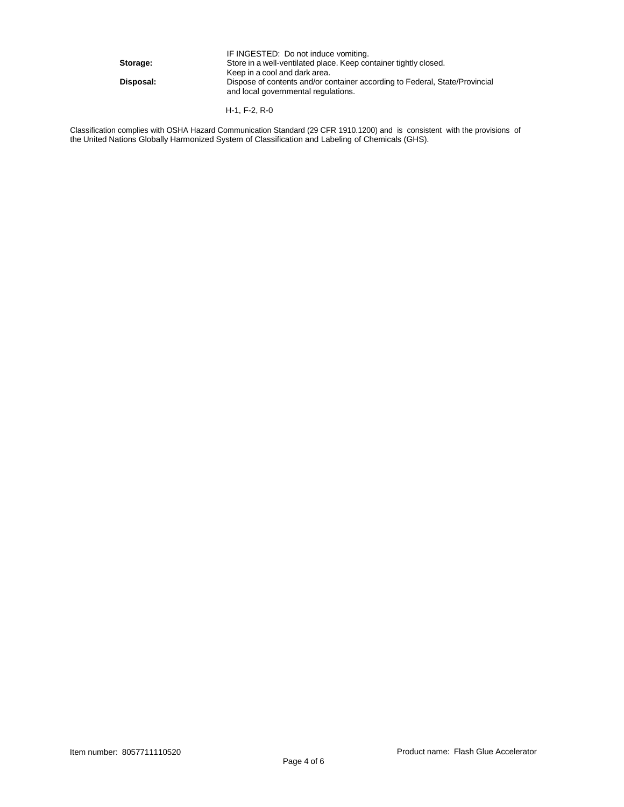|           | IF INGESTED: Do not induce vomiting.                                                                               |
|-----------|--------------------------------------------------------------------------------------------------------------------|
| Storage:  | Store in a well-ventilated place. Keep container tightly closed.                                                   |
|           | Keep in a cool and dark area.                                                                                      |
| Disposal: | Dispose of contents and/or container according to Federal, State/Provincial<br>and local governmental regulations. |
|           |                                                                                                                    |

H-1, F-2, R-0

Classification complies with OSHA Hazard Communication Standard (29 CFR 1910.1200) and is consistent with the provisions of the United Nations Globally Harmonized System of Classification and Labeling of Chemicals (GHS).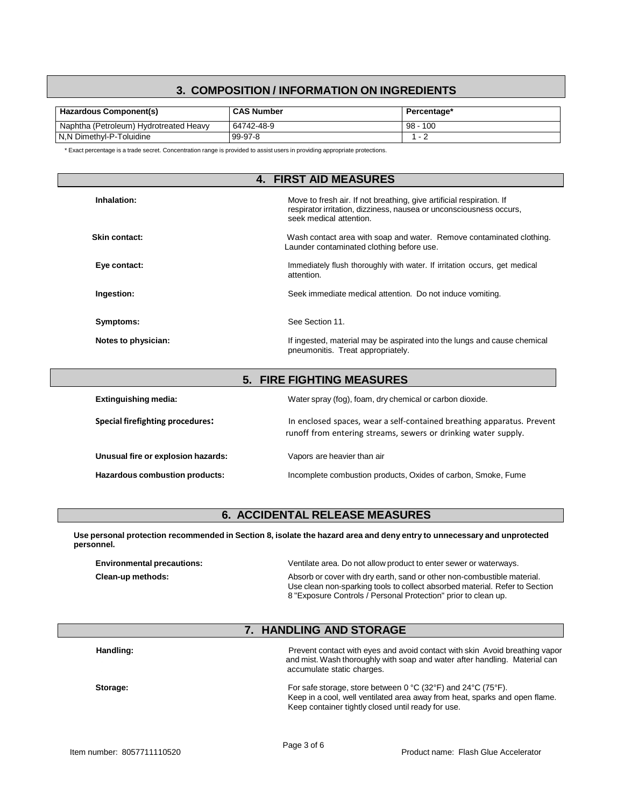# **3. COMPOSITION / INFORMATION ON INGREDIENTS**

| <b>Hazardous Component(s)</b>          | <b>CAS Number</b> | Percentage*      |
|----------------------------------------|-------------------|------------------|
| Naphtha (Petroleum) Hydrotreated Heavy | 64742-48-9        | $-100$<br>$98 -$ |
| l N.N Dimethyl-P-Toluidine             | 99-97-8           |                  |

\* Exact percentage is a trade secret. Concentration range is provided to assist users in providing appropriate protections.

|                     | <b>4. FIRST AID MEASURES</b>                                                                                                                                           |
|---------------------|------------------------------------------------------------------------------------------------------------------------------------------------------------------------|
| Inhalation:         | Move to fresh air. If not breathing, give artificial respiration. If<br>respirator irritation, dizziness, nausea or unconsciousness occurs,<br>seek medical attention. |
| Skin contact:       | Wash contact area with soap and water. Remove contaminated clothing.<br>Launder contaminated clothing before use.                                                      |
| Eye contact:        | Immediately flush thoroughly with water. If irritation occurs, get medical<br>attention.                                                                               |
| Ingestion:          | Seek immediate medical attention. Do not induce vomiting.                                                                                                              |
| Symptoms:           | See Section 11.                                                                                                                                                        |
| Notes to physician: | If ingested, material may be aspirated into the lungs and cause chemical<br>pneumonitis. Treat appropriately.                                                          |

| <b>5. FIRE FIGHTING MEASURES</b>        |                                                                                                                                          |  |  |  |
|-----------------------------------------|------------------------------------------------------------------------------------------------------------------------------------------|--|--|--|
| <b>Extinguishing media:</b>             | Water spray (fog), foam, dry chemical or carbon dioxide.                                                                                 |  |  |  |
| <b>Special firefighting procedures:</b> | In enclosed spaces, wear a self-contained breathing apparatus. Prevent<br>runoff from entering streams, sewers or drinking water supply. |  |  |  |
| Unusual fire or explosion hazards:      | Vapors are heavier than air                                                                                                              |  |  |  |
| Hazardous combustion products:          | Incomplete combustion products, Oxides of carbon, Smoke, Fume                                                                            |  |  |  |

# **6. ACCIDENTAL RELEASE MEASURES**

Use personal protection recommended in Section 8, isolate the hazard area and deny entry to unnecessary and unprotected **personnel.**

| <b>Environmental precautions:</b> | Ventilate area. Do not allow product to enter sewer or waterways.                                                                                      |
|-----------------------------------|--------------------------------------------------------------------------------------------------------------------------------------------------------|
| Clean-up methods:                 | Absorb or cover with dry earth, sand or other non-combustible material.<br>Use clean non-sparking tools to collect absorbed material. Refer to Section |
|                                   | 8 "Exposure Controls / Personal Protection" prior to clean up.                                                                                         |

# **7. HANDLING AND STORAGE**

| Handling: | Prevent contact with eyes and avoid contact with skin Avoid breathing vapor<br>and mist. Wash thoroughly with soap and water after handling. Material can<br>accumulate static charges.                                         |
|-----------|---------------------------------------------------------------------------------------------------------------------------------------------------------------------------------------------------------------------------------|
| Storage:  | For safe storage, store between $0^{\circ}C(32^{\circ}F)$ and $24^{\circ}C(75^{\circ}F)$ .<br>Keep in a cool, well ventilated area away from heat, sparks and open flame.<br>Keep container tightly closed until ready for use. |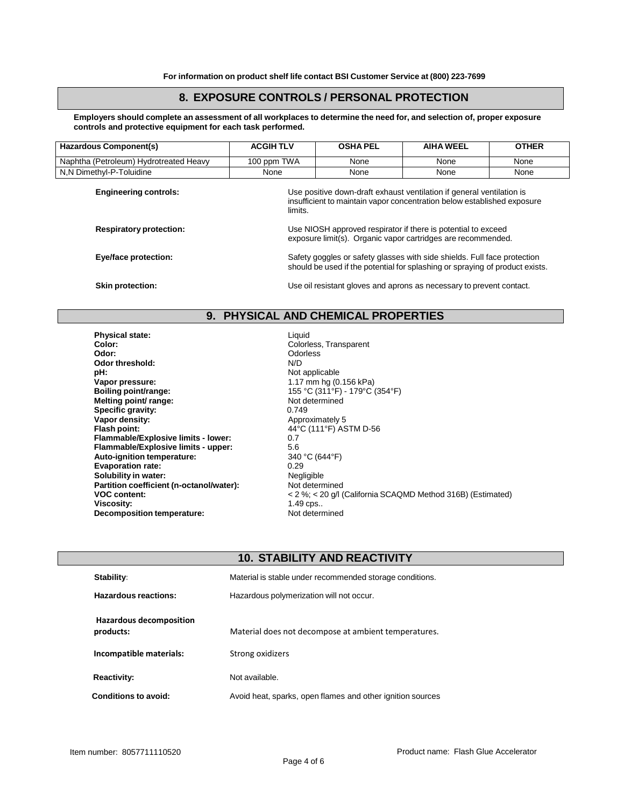### **8. EXPOSURE CONTROLS / PERSONAL PROTECTION**

Employers should complete an assessment of all workplaces to determine the need for, and selection of, proper exposure **controls and protective equipment for each task performed.**

| Hazardous Component(s)                 | <b>ACGIHTLV</b> | <b>OSHA PEL</b>                                                                                                                                             | <b>AIHA WEEL</b> | <b>OTHER</b> |  |
|----------------------------------------|-----------------|-------------------------------------------------------------------------------------------------------------------------------------------------------------|------------------|--------------|--|
| Naphtha (Petroleum) Hydrotreated Heavy | 100 ppm TWA     | None                                                                                                                                                        | None             | None         |  |
| N,N Dimethyl-P-Toluidine               | None            | None                                                                                                                                                        | None             | None         |  |
| <b>Engineering controls:</b>           |                 | Use positive down-draft exhaust ventilation if general ventilation is<br>insufficient to maintain vapor concentration below established exposure<br>limits. |                  |              |  |
| <b>Respiratory protection:</b>         |                 | Use NIOSH approved respirator if there is potential to exceed<br>exposure limit(s). Organic vapor cartridges are recommended.                               |                  |              |  |
| Eye/face protection:                   |                 | Safety goggles or safety glasses with side shields. Full face protection<br>should be used if the potential for splashing or spraying of product exists.    |                  |              |  |
| <b>Skin protection:</b>                |                 | Use oil resistant gloves and aprons as necessary to prevent contact.                                                                                        |                  |              |  |

# **9. PHYSICAL AND CHEMICAL PROPERTIES**

**Physical state:**<br> **Color:**Colorience Colorience Colorience Colorience Colorience Colorience Colorience Colorience Colorience Colorience **Color:** Colorless, Transparent **Odor threshold:**<br>pH: **pH:**<br> **Vapor pressure:**<br> **Vapor pressure:**<br> **Vapor pressure:**<br> **Vapor pressure: Vapor pressure:**  $\blacksquare$ <br> **Boiling point/range:**  $\blacksquare$  1.17 mm hg (0.156 kPa)<br>
155 °C (311 °F) - 179 °C ( **Melting point/ range:**<br> **Specific gravity:** 0.749 **Specific gravity:**<br>Vapor density: **Vapor density:**<br>
Flash point:<br>
Flash point:<br>  $44^{\circ}$ C (111°F) AS **Flammable/Explosive limits - lower:** 0.7 **Flammable/Explosive limits - upper:** 5.6<br> **Auto-ignition temperature:** 340 °C (644 °F) **Auto-ignition temperature:** 340 °<br>**Evaporation rate:** 0.29 **Evaporation rate:** 0.29 0.29<br> **Solubility in water:** Contained the Contained Politics Regligible **Solubility in water:**<br> **Partition coefficient (n-octanol/water):** Not determined **Partition coefficient (n-octanol/water): Viscosity: Decomposition temperature:** Not determined

**Odorless**<br>N/D **Boiling point/range:** 155 °C (311°F) - 179°C (354°F) **Flash point:** 44°C (111°F) ASTM D-56 **VOC content:**  $\begin{array}{ccc} \sim & 2\% < 20 \text{ g/l} \text{ (California SCAQMD Method 316B) (Estimated)} \\ \text{Viscosity:} & 1.49 \text{ cos.} \end{array}$ 

# **10. STABILITY AND REACTIVITY**

| <b>Stability:</b>                    | Material is stable under recommended storage conditions.   |
|--------------------------------------|------------------------------------------------------------|
| <b>Hazardous reactions:</b>          | Hazardous polymerization will not occur.                   |
| Hazardous decomposition<br>products: | Material does not decompose at ambient temperatures.       |
| Incompatible materials:              | Strong oxidizers                                           |
| <b>Reactivity:</b>                   | Not available.                                             |
| Conditions to avoid:                 | Avoid heat, sparks, open flames and other ignition sources |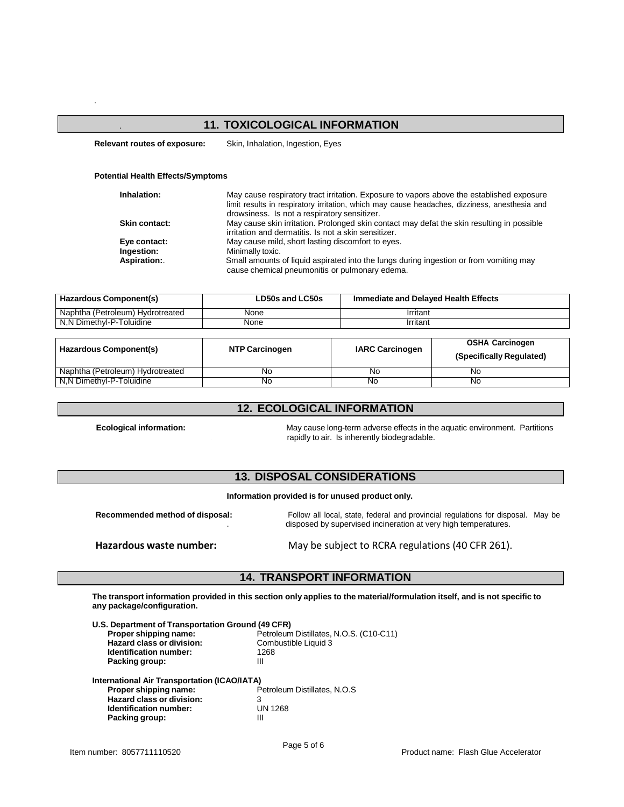#### . **11. TOXICOLOGICAL INFORMATION**

**Relevant routes of exposure:** Skin, Inhalation, Ingestion, Eyes

#### **Potential Health Effects/Symptoms**

.

| Inhalation:          | May cause respiratory tract irritation. Exposure to vapors above the established exposure<br>limit results in respiratory irritation, which may cause headaches, dizziness, anesthesia and<br>drowsiness. Is not a respiratory sensitizer. |
|----------------------|--------------------------------------------------------------------------------------------------------------------------------------------------------------------------------------------------------------------------------------------|
| <b>Skin contact:</b> | May cause skin irritation. Prolonged skin contact may defat the skin resulting in possible<br>irritation and dermatitis. Is not a skin sensitizer.                                                                                         |
| Eye contact:         | May cause mild, short lasting discomfort to eyes.                                                                                                                                                                                          |
| Ingestion:           | Minimally toxic.                                                                                                                                                                                                                           |
| Aspiration:          | Small amounts of liquid aspirated into the lungs during ingestion or from vomiting may<br>cause chemical pneumonitis or pulmonary edema.                                                                                                   |

| Hazardous Component(s)           | LD50s and LC50s | Immediate and Delayed Health Effects |  |
|----------------------------------|-----------------|--------------------------------------|--|
| Naphtha (Petroleum) Hydrotreated | None            | Irritant                             |  |
| N.N Dimethyl-P-Toluidine         | None            | Irritant                             |  |

| Hazardous Component(s)           | <b>NTP Carcinogen</b> | <b>IARC Carcinogen</b> | <b>OSHA Carcinogen</b><br>(Specifically Regulated) |
|----------------------------------|-----------------------|------------------------|----------------------------------------------------|
| Naphtha (Petroleum) Hydrotreated | No                    | No                     | Nο                                                 |
| N.N Dimethyl-P-Toluidine         | No                    | No                     | No                                                 |

#### **12. ECOLOGICAL INFORMATION**

**Ecological information:** May cause long-term adverse effects in the aquatic environment. Partitions . rapidly to air. Is inherently biodegradable.

# **13. DISPOSAL CONSIDERATIONS**

**Information provided is for unused product only.**

**Recommended method of disposal:** Follow all local, state, federal and provincial regulations for disposal. May be . disposed by supervised incineration at very high temperatures.

**Hazardous waste number:** May be subject to RCRA regulations (40 CFR 261).

# **14. TRANSPORT INFORMATION**

The transport information provided in this section only applies to the material/formulation itself, and is not specific to **any package/configuration.**

| U.S. Department of Transportation Ground (49 CFR)   |                                         |
|-----------------------------------------------------|-----------------------------------------|
| Proper shipping name:                               | Petroleum Distillates, N.O.S. (C10-C11) |
| Hazard class or division:                           | Combustible Liquid 3                    |
| <b>Identification number:</b>                       | 1268                                    |
| Packing group:                                      | Ш                                       |
| <b>International Air Transportation (ICAO/IATA)</b> |                                         |
| Proper shipping name:                               | Petroleum Distillates, N.O.S            |
| <b>Hazard class or division:</b>                    | 3                                       |
| Identification number:                              | <b>UN 1268</b>                          |
| Packing group:                                      | Ш                                       |